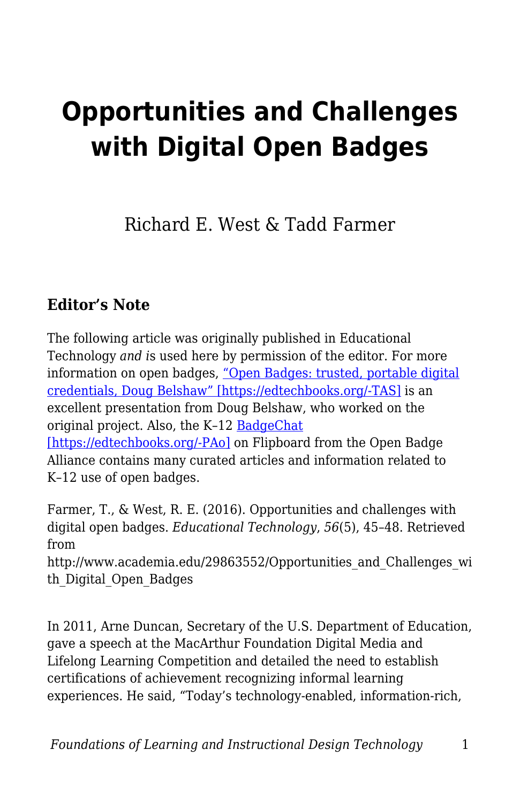# **Opportunities and Challenges with Digital Open Badges**

Richard E. West & Tadd Farmer

#### **Editor's Note**

The following article was originally published in Educational Technology *and i*s used here by permission of the editor. For more information on open badges, ["Open Badges: trusted, portable digital](https://www.youtube.com/watch?list=PLpmCHL8PnXq_S5LanR_N6e7koZ455DcS7&v=Nh1PhPWra9w) [credentials, Doug Belshaw" \[https://edtechbooks.org/-TAS\]](https://www.youtube.com/watch?list=PLpmCHL8PnXq_S5LanR_N6e7koZ455DcS7&v=Nh1PhPWra9w) is an excellent presentation from Doug Belshaw, who worked on the original project. Also, the K–12 [BadgeChat](https://flipboard.com/@noahgeisel7/badge-chat-f7a3sm21y)

[\[https://edtechbooks.org/-PAo\]](https://flipboard.com/@noahgeisel7/badge-chat-f7a3sm21y) on Flipboard from the Open Badge Alliance contains many curated articles and information related to K–12 use of open badges.

Farmer, T., & West, R. E. (2016). Opportunities and challenges with digital open badges. *Educational Technology*, *56*(5), 45–48. Retrieved from

http://www.academia.edu/29863552/Opportunities and Challenges wi th\_Digital\_Open\_Badges

In 2011, Arne Duncan, Secretary of the U.S. Department of Education, gave a speech at the MacArthur Foundation Digital Media and Lifelong Learning Competition and detailed the need to establish certifications of achievement recognizing informal learning experiences. He said, "Today's technology-enabled, information-rich,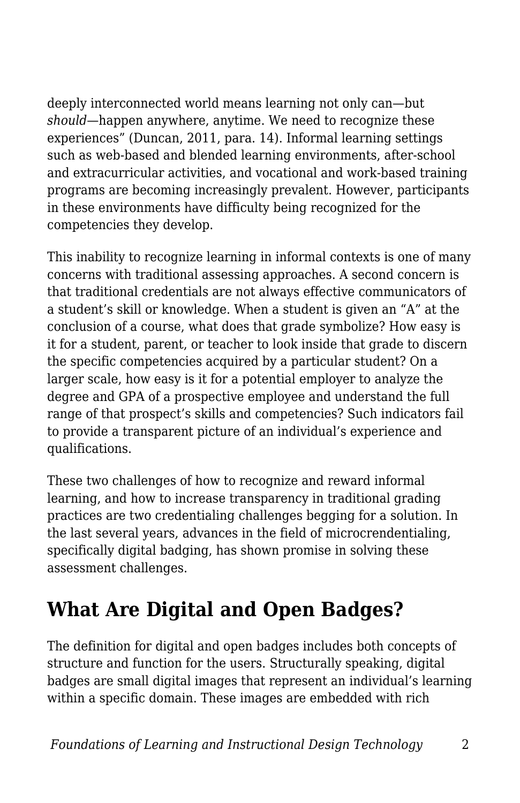deeply interconnected world means learning not only can—but *should*—happen anywhere, anytime. We need to recognize these experiences" (Duncan, 2011, para. 14). Informal learning settings such as web-based and blended learning environments, after-school and extracurricular activities, and vocational and work-based training programs are becoming increasingly prevalent. However, participants in these environments have difficulty being recognized for the competencies they develop.

This inability to recognize learning in informal contexts is one of many concerns with traditional assessing approaches. A second concern is that traditional credentials are not always effective communicators of a student's skill or knowledge. When a student is given an "A" at the conclusion of a course, what does that grade symbolize? How easy is it for a student, parent, or teacher to look inside that grade to discern the specific competencies acquired by a particular student? On a larger scale, how easy is it for a potential employer to analyze the degree and GPA of a prospective employee and understand the full range of that prospect's skills and competencies? Such indicators fail to provide a transparent picture of an individual's experience and qualifications.

These two challenges of how to recognize and reward informal learning, and how to increase transparency in traditional grading practices are two credentialing challenges begging for a solution. In the last several years, advances in the field of microcrendentialing, specifically digital badging, has shown promise in solving these assessment challenges.

### **What Are Digital and Open Badges?**

The definition for digital and open badges includes both concepts of structure and function for the users. Structurally speaking, digital badges are small digital images that represent an individual's learning within a specific domain. These images are embedded with rich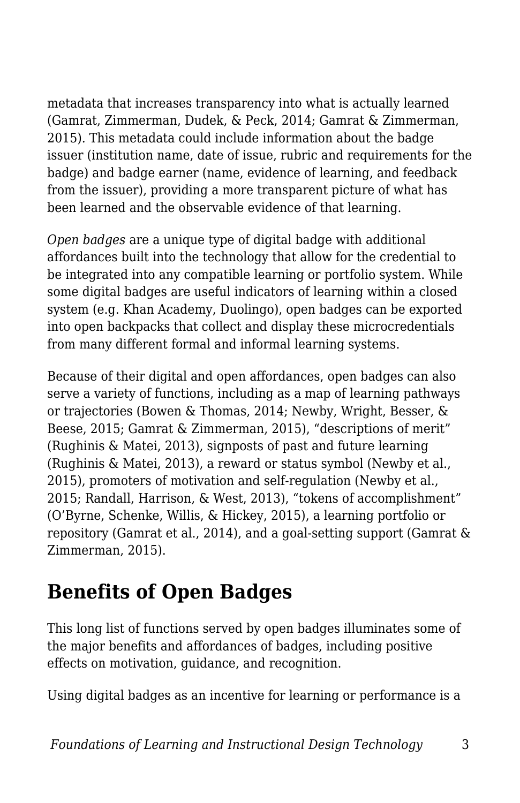metadata that increases transparency into what is actually learned (Gamrat, Zimmerman, Dudek, & Peck, 2014; Gamrat & Zimmerman, 2015). This metadata could include information about the badge issuer (institution name, date of issue, rubric and requirements for the badge) and badge earner (name, evidence of learning, and feedback from the issuer), providing a more transparent picture of what has been learned and the observable evidence of that learning.

*Open badges* are a unique type of digital badge with additional affordances built into the technology that allow for the credential to be integrated into any compatible learning or portfolio system. While some digital badges are useful indicators of learning within a closed system (e.g. Khan Academy, Duolingo), open badges can be exported into open backpacks that collect and display these microcredentials from many different formal and informal learning systems.

Because of their digital and open affordances, open badges can also serve a variety of functions, including as a map of learning pathways or trajectories (Bowen & Thomas, 2014; Newby, Wright, Besser, & Beese, 2015; Gamrat & Zimmerman, 2015), "descriptions of merit" (Rughinis & Matei, 2013), signposts of past and future learning (Rughinis & Matei, 2013), a reward or status symbol (Newby et al., 2015), promoters of motivation and self-regulation (Newby et al., 2015; Randall, Harrison, & West, 2013), "tokens of accomplishment" (O'Byrne, Schenke, Willis, & Hickey, 2015), a learning portfolio or repository (Gamrat et al., 2014), and a goal-setting support (Gamrat & Zimmerman, 2015).

#### **Benefits of Open Badges**

This long list of functions served by open badges illuminates some of the major benefits and affordances of badges, including positive effects on motivation, guidance, and recognition.

Using digital badges as an incentive for learning or performance is a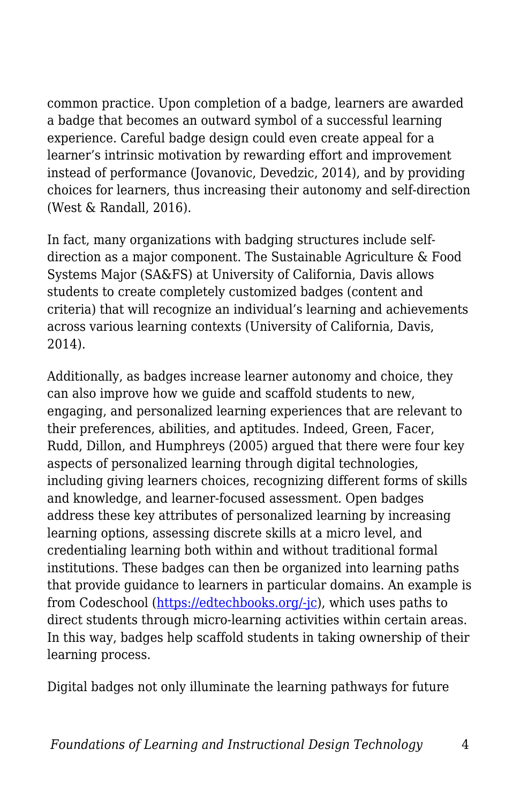common practice. Upon completion of a badge, learners are awarded a badge that becomes an outward symbol of a successful learning experience. Careful badge design could even create appeal for a learner's intrinsic motivation by rewarding effort and improvement instead of performance (Jovanovic, Devedzic, 2014), and by providing choices for learners, thus increasing their autonomy and self-direction (West & Randall, 2016).

In fact, many organizations with badging structures include selfdirection as a major component. The Sustainable Agriculture & Food Systems Major (SA&FS) at University of California, Davis allows students to create completely customized badges (content and criteria) that will recognize an individual's learning and achievements across various learning contexts (University of California, Davis, 2014).

Additionally, as badges increase learner autonomy and choice, they can also improve how we guide and scaffold students to new, engaging, and personalized learning experiences that are relevant to their preferences, abilities, and aptitudes. Indeed, Green, Facer, Rudd, Dillon, and Humphreys (2005) argued that there were four key aspects of personalized learning through digital technologies, including giving learners choices, recognizing different forms of skills and knowledge, and learner-focused assessment. Open badges address these key attributes of personalized learning by increasing learning options, assessing discrete skills at a micro level, and credentialing learning both within and without traditional formal institutions. These badges can then be organized into learning paths that provide guidance to learners in particular domains. An example is from Codeschool [\(https://edtechbooks.org/-jc\)](https://www.codeschool.com/paths), which uses paths to direct students through micro-learning activities within certain areas. In this way, badges help scaffold students in taking ownership of their learning process.

Digital badges not only illuminate the learning pathways for future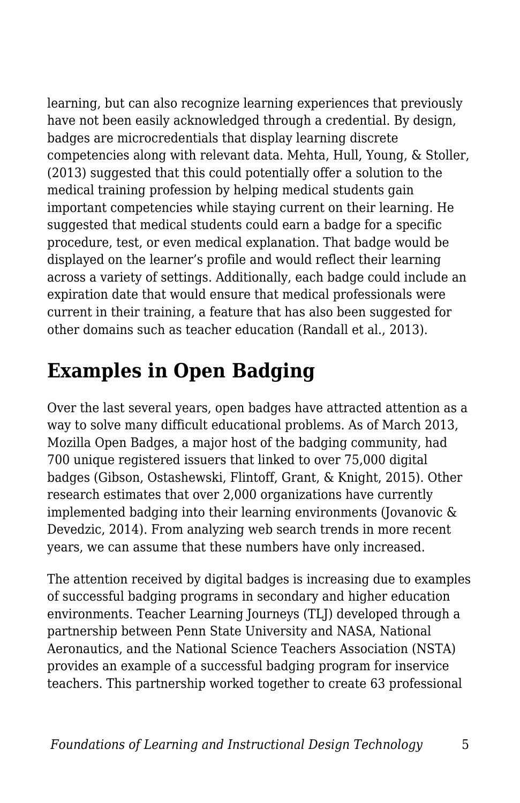learning, but can also recognize learning experiences that previously have not been easily acknowledged through a credential. By design, badges are microcredentials that display learning discrete competencies along with relevant data. Mehta, Hull, Young, & Stoller, (2013) suggested that this could potentially offer a solution to the medical training profession by helping medical students gain important competencies while staying current on their learning. He suggested that medical students could earn a badge for a specific procedure, test, or even medical explanation. That badge would be displayed on the learner's profile and would reflect their learning across a variety of settings. Additionally, each badge could include an expiration date that would ensure that medical professionals were current in their training, a feature that has also been suggested for other domains such as teacher education (Randall et al., 2013).

#### **Examples in Open Badging**

Over the last several years, open badges have attracted attention as a way to solve many difficult educational problems. As of March 2013, Mozilla Open Badges, a major host of the badging community, had 700 unique registered issuers that linked to over 75,000 digital badges (Gibson, Ostashewski, Flintoff, Grant, & Knight, 2015). Other research estimates that over 2,000 organizations have currently implemented badging into their learning environments (Jovanovic & Devedzic, 2014). From analyzing web search trends in more recent years, we can assume that these numbers have only increased.

The attention received by digital badges is increasing due to examples of successful badging programs in secondary and higher education environments. Teacher Learning Journeys (TLJ) developed through a partnership between Penn State University and NASA, National Aeronautics, and the National Science Teachers Association (NSTA) provides an example of a successful badging program for inservice teachers. This partnership worked together to create 63 professional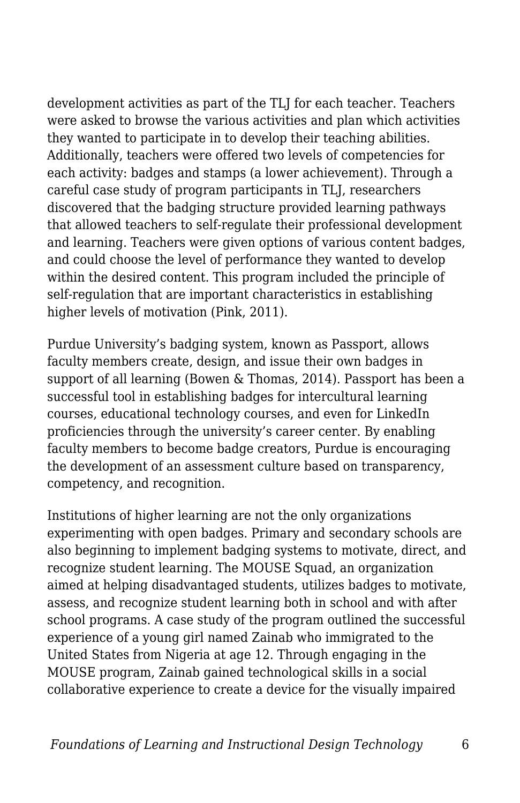development activities as part of the TLJ for each teacher. Teachers were asked to browse the various activities and plan which activities they wanted to participate in to develop their teaching abilities. Additionally, teachers were offered two levels of competencies for each activity: badges and stamps (a lower achievement). Through a careful case study of program participants in TLJ, researchers discovered that the badging structure provided learning pathways that allowed teachers to self-regulate their professional development and learning. Teachers were given options of various content badges, and could choose the level of performance they wanted to develop within the desired content. This program included the principle of self-regulation that are important characteristics in establishing higher levels of motivation (Pink, 2011).

Purdue University's badging system, known as Passport, allows faculty members create, design, and issue their own badges in support of all learning (Bowen & Thomas, 2014). Passport has been a successful tool in establishing badges for intercultural learning courses, educational technology courses, and even for LinkedIn proficiencies through the university's career center. By enabling faculty members to become badge creators, Purdue is encouraging the development of an assessment culture based on transparency, competency, and recognition.

Institutions of higher learning are not the only organizations experimenting with open badges. Primary and secondary schools are also beginning to implement badging systems to motivate, direct, and recognize student learning. The MOUSE Squad, an organization aimed at helping disadvantaged students, utilizes badges to motivate, assess, and recognize student learning both in school and with after school programs. A case study of the program outlined the successful experience of a young girl named Zainab who immigrated to the United States from Nigeria at age 12. Through engaging in the MOUSE program, Zainab gained technological skills in a social collaborative experience to create a device for the visually impaired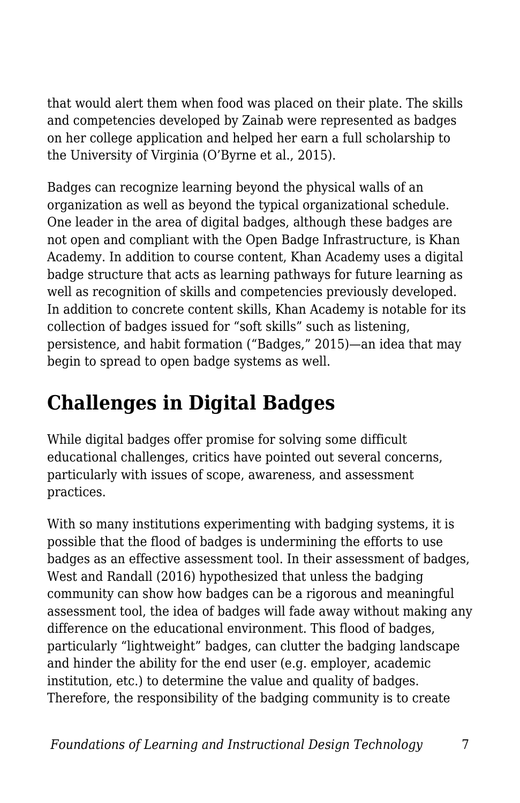that would alert them when food was placed on their plate. The skills and competencies developed by Zainab were represented as badges on her college application and helped her earn a full scholarship to the University of Virginia (O'Byrne et al., 2015).

Badges can recognize learning beyond the physical walls of an organization as well as beyond the typical organizational schedule. One leader in the area of digital badges, although these badges are not open and compliant with the Open Badge Infrastructure, is Khan Academy. In addition to course content, Khan Academy uses a digital badge structure that acts as learning pathways for future learning as well as recognition of skills and competencies previously developed. In addition to concrete content skills, Khan Academy is notable for its collection of badges issued for "soft skills" such as listening, persistence, and habit formation ("Badges," 2015)—an idea that may begin to spread to open badge systems as well.

## **Challenges in Digital Badges**

While digital badges offer promise for solving some difficult educational challenges, critics have pointed out several concerns, particularly with issues of scope, awareness, and assessment practices.

With so many institutions experimenting with badging systems, it is possible that the flood of badges is undermining the efforts to use badges as an effective assessment tool. In their assessment of badges, West and Randall (2016) hypothesized that unless the badging community can show how badges can be a rigorous and meaningful assessment tool, the idea of badges will fade away without making any difference on the educational environment. This flood of badges, particularly "lightweight" badges, can clutter the badging landscape and hinder the ability for the end user (e.g. employer, academic institution, etc.) to determine the value and quality of badges. Therefore, the responsibility of the badging community is to create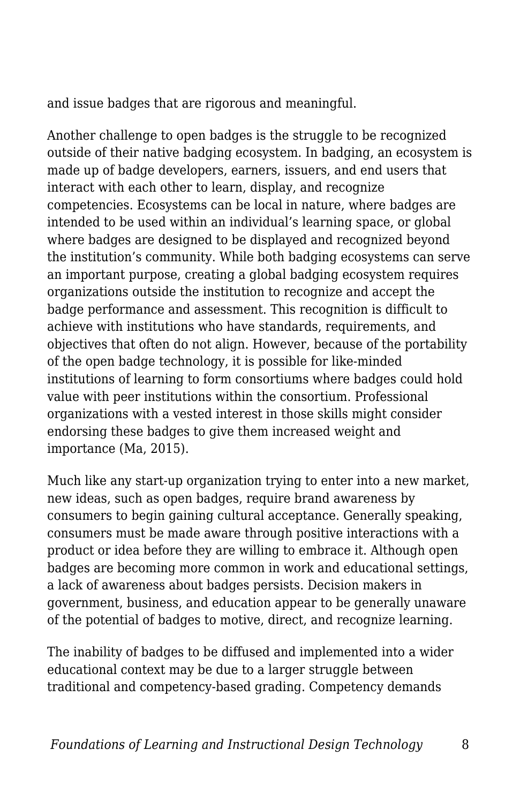and issue badges that are rigorous and meaningful.

Another challenge to open badges is the struggle to be recognized outside of their native badging ecosystem. In badging, an ecosystem is made up of badge developers, earners, issuers, and end users that interact with each other to learn, display, and recognize competencies. Ecosystems can be local in nature, where badges are intended to be used within an individual's learning space, or global where badges are designed to be displayed and recognized beyond the institution's community. While both badging ecosystems can serve an important purpose, creating a global badging ecosystem requires organizations outside the institution to recognize and accept the badge performance and assessment. This recognition is difficult to achieve with institutions who have standards, requirements, and objectives that often do not align. However, because of the portability of the open badge technology, it is possible for like-minded institutions of learning to form consortiums where badges could hold value with peer institutions within the consortium. Professional organizations with a vested interest in those skills might consider endorsing these badges to give them increased weight and importance (Ma, 2015).

Much like any start-up organization trying to enter into a new market, new ideas, such as open badges, require brand awareness by consumers to begin gaining cultural acceptance. Generally speaking, consumers must be made aware through positive interactions with a product or idea before they are willing to embrace it. Although open badges are becoming more common in work and educational settings, a lack of awareness about badges persists. Decision makers in government, business, and education appear to be generally unaware of the potential of badges to motive, direct, and recognize learning.

The inability of badges to be diffused and implemented into a wider educational context may be due to a larger struggle between traditional and competency-based grading. Competency demands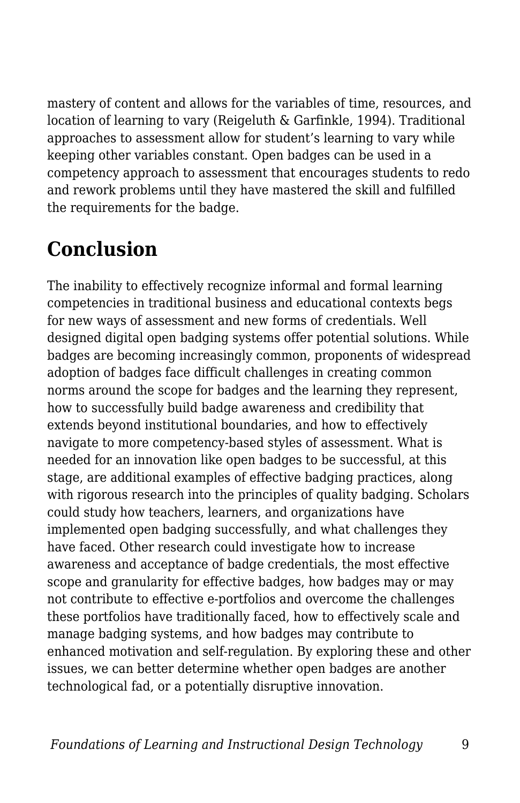mastery of content and allows for the variables of time, resources, and location of learning to vary (Reigeluth & Garfinkle, 1994). Traditional approaches to assessment allow for student's learning to vary while keeping other variables constant. Open badges can be used in a competency approach to assessment that encourages students to redo and rework problems until they have mastered the skill and fulfilled the requirements for the badge.

## **Conclusion**

The inability to effectively recognize informal and formal learning competencies in traditional business and educational contexts begs for new ways of assessment and new forms of credentials. Well designed digital open badging systems offer potential solutions. While badges are becoming increasingly common, proponents of widespread adoption of badges face difficult challenges in creating common norms around the scope for badges and the learning they represent, how to successfully build badge awareness and credibility that extends beyond institutional boundaries, and how to effectively navigate to more competency-based styles of assessment. What is needed for an innovation like open badges to be successful, at this stage, are additional examples of effective badging practices, along with rigorous research into the principles of quality badging. Scholars could study how teachers, learners, and organizations have implemented open badging successfully, and what challenges they have faced. Other research could investigate how to increase awareness and acceptance of badge credentials, the most effective scope and granularity for effective badges, how badges may or may not contribute to effective e-portfolios and overcome the challenges these portfolios have traditionally faced, how to effectively scale and manage badging systems, and how badges may contribute to enhanced motivation and self-regulation. By exploring these and other issues, we can better determine whether open badges are another technological fad, or a potentially disruptive innovation.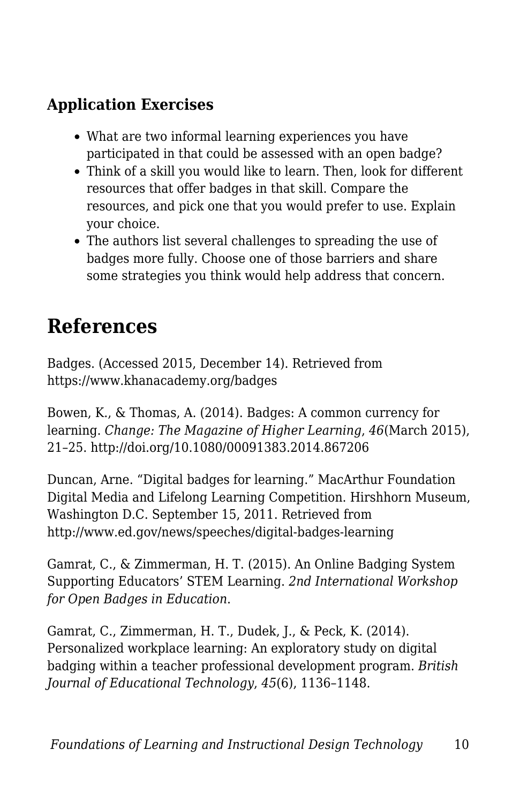#### **Application Exercises**

- What are two informal learning experiences you have participated in that could be assessed with an open badge?
- Think of a skill you would like to learn. Then, look for different resources that offer badges in that skill. Compare the resources, and pick one that you would prefer to use. Explain your choice.
- The authors list several challenges to spreading the use of badges more fully. Choose one of those barriers and share some strategies you think would help address that concern.

#### **References**

Badges. (Accessed 2015, December 14). Retrieved from https://www.khanacademy.org/badges

Bowen, K., & Thomas, A. (2014). Badges: A common currency for learning. *Change: The Magazine of Higher Learning*, *46*(March 2015), 21–25. http://doi.org/10.1080/00091383.2014.867206

Duncan, Arne. "Digital badges for learning." MacArthur Foundation Digital Media and Lifelong Learning Competition. Hirshhorn Museum, Washington D.C. September 15, 2011. Retrieved from http://www.ed.gov/news/speeches/digital-badges-learning

Gamrat, C., & Zimmerman, H. T. (2015). An Online Badging System Supporting Educators' STEM Learning. *2nd International Workshop for Open Badges in Education*.

Gamrat, C., Zimmerman, H. T., Dudek, J., & Peck, K. (2014). Personalized workplace learning: An exploratory study on digital badging within a teacher professional development program. *British Journal of Educational Technology*, *45*(6), 1136–1148.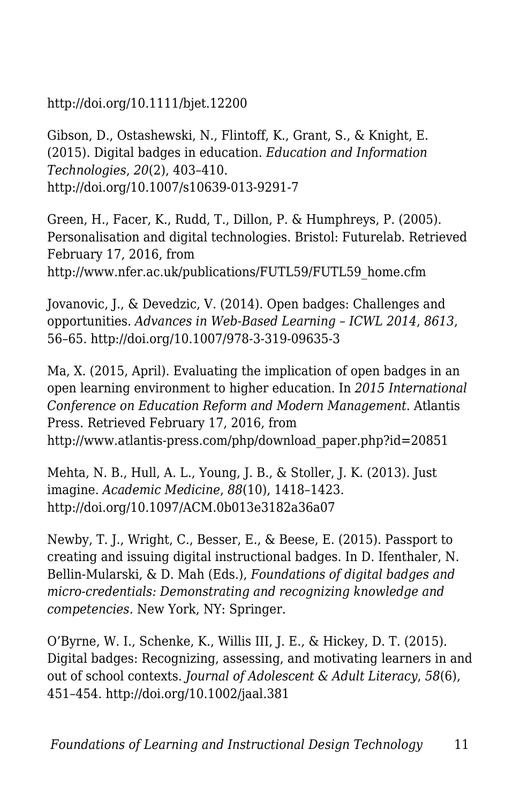http://doi.org/10.1111/bjet.12200

Gibson, D., Ostashewski, N., Flintoff, K., Grant, S., & Knight, E. (2015). Digital badges in education. *Education and Information Technologies*, *20*(2), 403–410. http://doi.org/10.1007/s10639-013-9291-7

Green, H., Facer, K., Rudd, T., Dillon, P. & Humphreys, P. (2005). Personalisation and digital technologies. Bristol: Futurelab. Retrieved February 17, 2016, from http://www.nfer.ac.uk/publications/FUTL59/FUTL59\_home.cfm

Jovanovic, J., & Devedzic, V. (2014). Open badges: Challenges and opportunities. *Advances in Web-Based Learning – ICWL 2014*, *8613*, 56–65. http://doi.org/10.1007/978-3-319-09635-3

Ma, X. (2015, April). Evaluating the implication of open badges in an open learning environment to higher education. In *2015 International Conference on Education Reform and Modern Management*. Atlantis Press. Retrieved February 17, 2016, from http://www.atlantis-press.com/php/download\_paper.php?id=20851

Mehta, N. B., Hull, A. L., Young, J. B., & Stoller, J. K. (2013). Just imagine. *Academic Medicine*, *88*(10), 1418–1423. http://doi.org/10.1097/ACM.0b013e3182a36a07

Newby, T. J., Wright, C., Besser, E., & Beese, E. (2015). Passport to creating and issuing digital instructional badges. In D. Ifenthaler, N. Bellin-Mularski, & D. Mah (Eds.), *Foundations of digital badges and micro-credentials: Demonstrating and recognizing knowledge and competencies.* New York, NY: Springer.

O'Byrne, W. I., Schenke, K., Willis III, J. E., & Hickey, D. T. (2015). Digital badges: Recognizing, assessing, and motivating learners in and out of school contexts. *Journal of Adolescent & Adult Literacy*, *58*(6), 451–454. http://doi.org/10.1002/jaal.381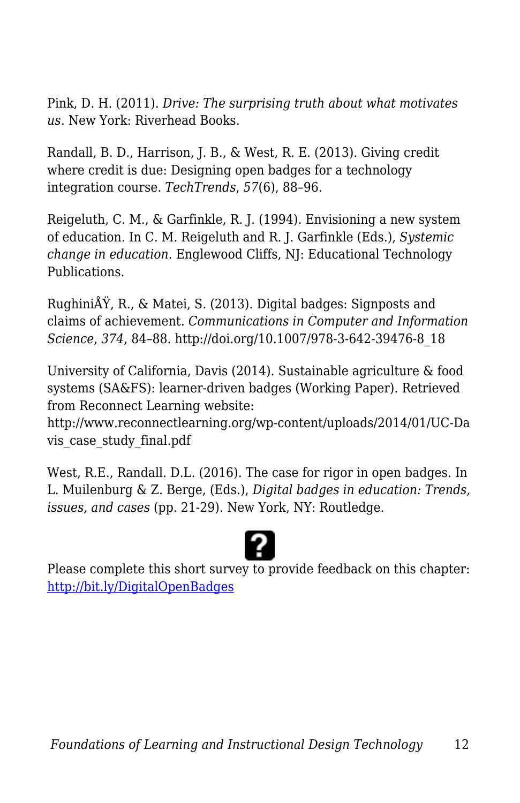Pink, D. H. (2011). *Drive: The surprising truth about what motivates us*. New York: Riverhead Books.

Randall, B. D., Harrison, J. B., & West, R. E. (2013). Giving credit where credit is due: Designing open badges for a technology integration course. *TechTrends*, *57*(6), 88–96.

Reigeluth, C. M., & Garfinkle, R. J. (1994). Envisioning a new system of education. In C. M. Reigeluth and R. J. Garfinkle (Eds.), *Systemic change in education*. Englewood Cliffs, NJ: Educational Technology Publications.

RughiniÅŸ, R., & Matei, S. (2013). Digital badges: Signposts and claims of achievement. *Communications in Computer and Information Science*, *374*, 84–88. http://doi.org/10.1007/978-3-642-39476-8\_18

University of California, Davis (2014). Sustainable agriculture & food systems (SA&FS): learner-driven badges (Working Paper). Retrieved from Reconnect Learning website:

http://www.reconnectlearning.org/wp-content/uploads/2014/01/UC-Da vis\_case\_study\_final.pdf

West, R.E., Randall. D.L. (2016). The case for rigor in open badges. In L. Muilenburg & Z. Berge, (Eds.), *Digital badges in education: Trends, issues, and cases* (pp. 21-29)*.* New York, NY: Routledge.

Please complete this short survey to provide feedback on this chapter: <http://bit.ly/DigitalOpenBadges>